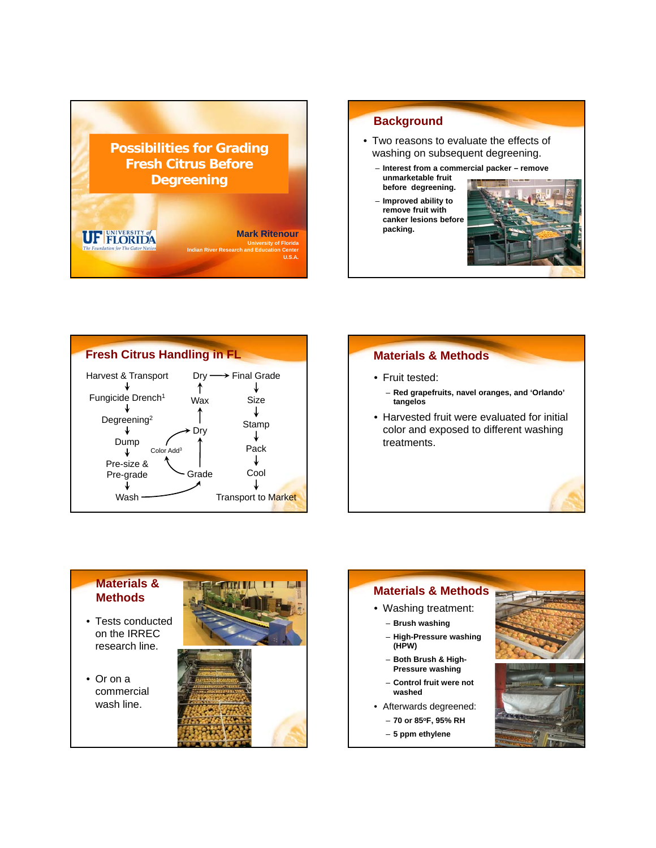

## **Background**

- Two reasons to evaluate the effects of washing on subsequent degreening.
	- **Interest from a commercial packer remove**
	- **unmarketable fruit before degreening. before**  – **Improved ability to remove fruit with canker lesions before packing.**





# **Materials & Methods**

- Fruit tested:
	- **Red grapefruits, navel oranges, and 'Orlando' tangelos**
- Harvested fruit were evaluated for initial color and exposed to different washing treatments.



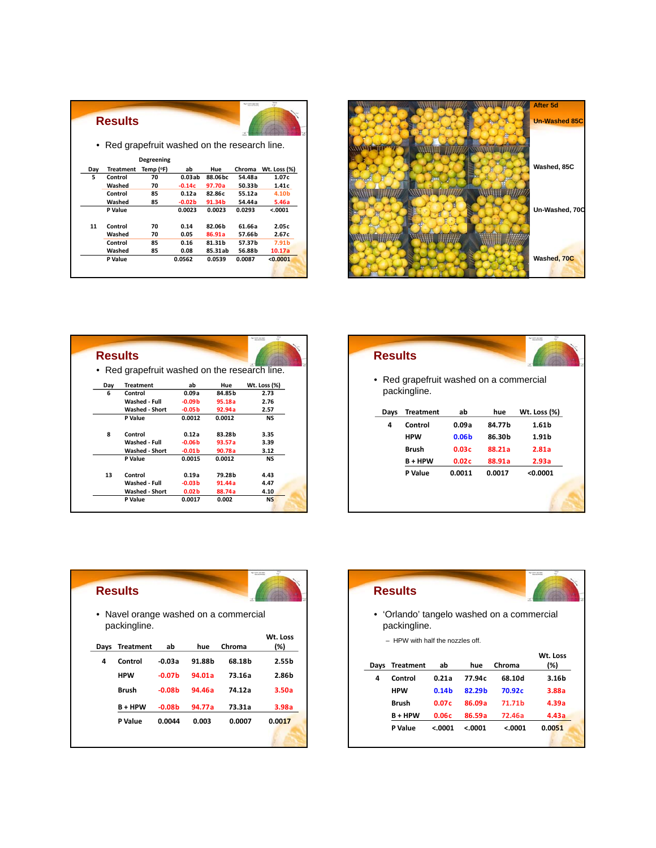|     | <b>Results</b>                                |            |          |         | <b>Facilities</b> supported |                   |
|-----|-----------------------------------------------|------------|----------|---------|-----------------------------|-------------------|
|     | • Red grapefruit washed on the research line. |            |          |         |                             |                   |
|     |                                               | Degreening |          |         |                             |                   |
| Day | <b>Treatment</b>                              | Temp (°F)  | ab       | Hue     | Chroma                      | Wt. Loss (%)      |
| 5   | Control                                       | 70         | 0.03ab   | 88.06bc | 54.48a                      | 1.07c             |
|     | Washed                                        | 70         | $-0.14c$ | 97.70a  | 50.33b                      | 1.41c             |
|     | Control                                       | 85         | 0.12a    | 82.86c  | 55.12a                      | 4.10b             |
|     | Washed                                        | 85         | $-0.02b$ | 91.34b  | 54.44a                      | 5.46a             |
|     | P Value                                       |            | 0.0023   | 0.0023  | 0.0293                      | < .0001           |
| 11  | Control                                       | 70         | 0.14     | 82.06b  | 61.66a                      | 2.05c             |
|     | Washed                                        | 70         | 0.05     | 86.91a  | 57.66b                      | 2.67c             |
|     | Control                                       | 85         | 0.16     | 81.31b  | 57.37b                      | 7.91 <sub>b</sub> |
|     | Washed                                        | 85         | 0.08     | 85.31ab | 56.88b                      | 10.17a            |
|     | P Value                                       |            | 0.0562   | 0.0539  | 0.0087                      | < 0.0001          |
|     |                                               |            |          |         |                             |                   |



|     | <b>Results</b>                                |                   |        |                     |
|-----|-----------------------------------------------|-------------------|--------|---------------------|
|     |                                               |                   |        |                     |
|     | • Red grapefruit washed on the research line. |                   |        |                     |
| Day | <b>Treatment</b>                              | ab                | Hue    | <b>Wt. Loss (%)</b> |
| 6   | Control                                       | 0.09a             | 84.85b | 2.73                |
|     | Washed - Full                                 | $-0.09b$          | 95.18a | 2.76                |
|     | <b>Washed - Short</b>                         | $-0.05b$          | 92.94a | 2.57                |
|     | P Value                                       | 0.0012            | 0.0012 | <b>NS</b>           |
| 8   | Control                                       | 0.12a             | 83.28b | 3.35                |
|     | Washed - Full                                 | $-0.06b$          | 93.57a | 3.39                |
|     | <b>Washed - Short</b>                         | $-0.01b$          | 90.78a | 3.12                |
|     | P Value                                       | 0.0015            | 0.0012 | <b>NS</b>           |
| 13  | Control                                       | 0.19a             | 79.28b | 4.43                |
|     | Washed - Full                                 | $-0.03b$          | 91.44a | 4.47                |
|     | <b>Washed - Short</b>                         | 0.02 <sub>b</sub> | 88.74a | 4.10                |
|     | P Value                                       | 0.0017            | 0.002  | <b>NS</b>           |

# **Results**  • Red grapefruit washed on a commercial packingline. **Days Treatment ab hue Wt. Loss (%)**

| vavs | neaunent     | av                | nue    | <b>WL. LUSS (70)</b> |
|------|--------------|-------------------|--------|----------------------|
| 4    | Control      | 0.09a             | 84.77b | 1.61 <sub>b</sub>    |
|      | <b>HPW</b>   | 0.06 <sub>b</sub> | 86.30b | 1.91 <sub>b</sub>    |
|      | <b>Brush</b> | 0.03c             | 88.21a | 2.81a                |
|      | $B + HPW$    | 0.02c             | 88.91a | 2.93a                |
|      | P Value      | 0.0011            | 0.0017 | < 0.0001             |

|      | <b>Results</b>   |          |        |                                       |                   |
|------|------------------|----------|--------|---------------------------------------|-------------------|
|      | packingline.     |          |        | • Navel orange washed on a commercial |                   |
|      |                  |          |        |                                       | Wt. Loss          |
| Days | <b>Treatment</b> | ab       | hue    | Chroma                                | (%)               |
| 4    | Control          | -0.03a   | 91.88b | 68.18b                                | 2.55 <sub>b</sub> |
|      | <b>HPW</b>       | $-0.07b$ | 94.01a | 73.16a                                | 2.86b             |
|      | <b>Brush</b>     | $-0.08b$ | 94.46a | 74.12a                                | 3.50a             |
|      | <b>B+HPW</b>     | $-0.08b$ | 94.77a | 73.31a                                | 3.98a             |
|      | P Value          | 0.0044   | 0.003  | 0.0007                                | 0.0017            |

|      | <b>Results</b>                  |                   |          |                                            |          |
|------|---------------------------------|-------------------|----------|--------------------------------------------|----------|
|      | packingline.                    |                   |          | • 'Orlando' tangelo washed on a commercial |          |
|      | - HPW with half the nozzles off |                   |          |                                            |          |
|      |                                 |                   |          |                                            | Wt. Loss |
| Days | Treatment                       | ab                | hue      | Chroma                                     | (%)      |
| 4    | Control                         | 0.21a             | 77.94c   | 68.10d                                     | 3.16b    |
|      | <b>HPW</b>                      | 0.14 <sub>b</sub> | 82.29b   | 70.92c                                     | 3.88a    |
|      | Brush                           | 0.07c             | 86.09a   | 71.71 <sub>b</sub>                         | 4.39a    |
|      | <b>B+HPW</b>                    | 0.06c             | 86.59a   | 72.46a                                     | 4.43a    |
|      | P Value                         | < 0001            | < 0.0001 | < 0.001                                    | 0.0051   |